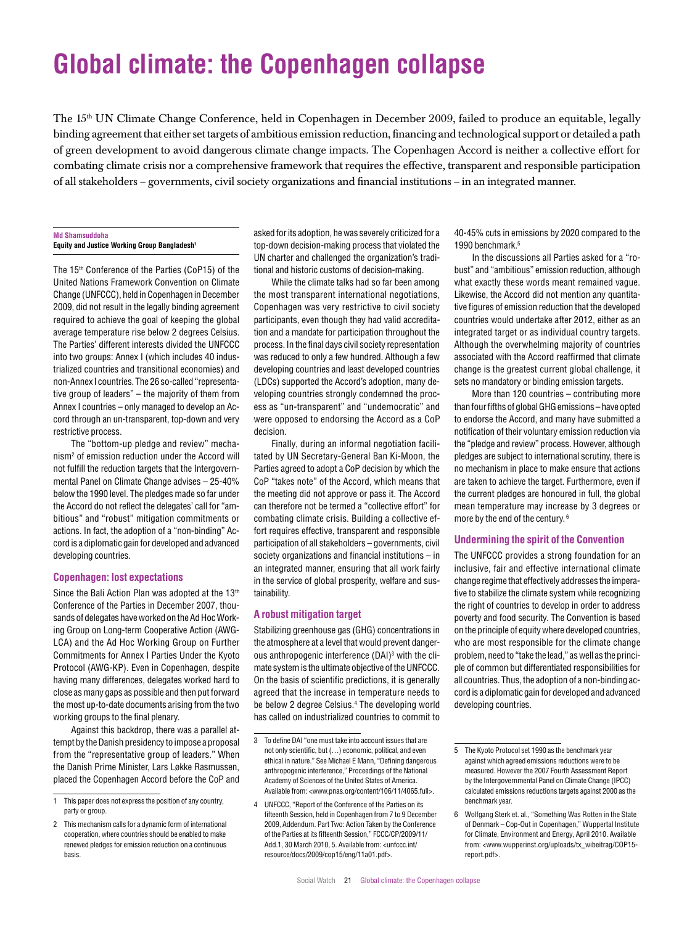# **Global climate: the Copenhagen collapse**

The 15<sup>th</sup> UN Climate Change Conference, held in Copenhagen in December 2009, failed to produce an equitable, legally binding agreement that either set targets of ambitious emission reduction, financing and technological support or detailed a path of green development to avoid dangerous climate change impacts. The Copenhagen Accord is neither a collective effort for combating climate crisis nor a comprehensive framework that requires the effective, transparent and responsible participation of all stakeholders – governments, civil society organizations and financial institutions – in an integrated manner.

### **Md Shamsuddoha Equity and Justice Working Group Bangladesh1**

The 15<sup>th</sup> Conference of the Parties (CoP15) of the United Nations Framework Convention on Climate Change (UNFCCC), held in Copenhagen in December 2009, did not result in the legally binding agreement required to achieve the goal of keeping the global average temperature rise below 2 degrees Celsius. The Parties' different interests divided the UNFCCC into two groups: Annex I (which includes 40 industrialized countries and transitional economies) and non-Annex I countries. The 26 so-called "representative group of leaders" – the majority of them from Annex I countries – only managed to develop an Accord through an un-transparent, top-down and very restrictive process.

The "bottom-up pledge and review" mechanism2 of emission reduction under the Accord will not fulfill the reduction targets that the Intergovernmental Panel on Climate Change advises – 25-40% below the 1990 level. The pledges made so far under the Accord do not reflect the delegates' call for "ambitious" and "robust" mitigation commitments or actions. In fact, the adoption of a "non-binding" Accord is a diplomatic gain for developed and advanced developing countries.

# **Copenhagen: lost expectations**

Since the Bali Action Plan was adopted at the 13<sup>th</sup> Conference of the Parties in December 2007, thousands of delegates have worked on the Ad Hoc Working Group on Long-term Cooperative Action (AWG-LCA) and the Ad Hoc Working Group on Further Commitments for Annex I Parties Under the Kyoto Protocol (AWG-KP). Even in Copenhagen, despite having many differences, delegates worked hard to close as many gaps as possible and then put forward the most up-to-date documents arising from the two working groups to the final plenary.

Against this backdrop, there was a parallel attempt by the Danish presidency to impose a proposal from the "representative group of leaders." When the Danish Prime Minister, Lars Løkke Rasmussen, placed the Copenhagen Accord before the CoP and asked for its adoption, he was severely criticized for a top-down decision-making process that violated the UN charter and challenged the organization's traditional and historic customs of decision-making.

While the climate talks had so far been among the most transparent international negotiations, Copenhagen was very restrictive to civil society participants, even though they had valid accreditation and a mandate for participation throughout the process. In the final days civil society representation was reduced to only a few hundred. Although a few developing countries and least developed countries (LDCs) supported the Accord's adoption, many developing countries strongly condemned the process as "un-transparent" and "undemocratic" and were opposed to endorsing the Accord as a CoP decision.

Finally, during an informal negotiation facilitated by UN Secretary-General Ban Ki-Moon, the Parties agreed to adopt a CoP decision by which the CoP "takes note" of the Accord, which means that the meeting did not approve or pass it. The Accord can therefore not be termed a "collective effort" for combating climate crisis. Building a collective effort requires effective, transparent and responsible participation of all stakeholders – governments, civil society organizations and financial institutions – in an integrated manner, ensuring that all work fairly in the service of global prosperity, welfare and sustainability.

# **A robust mitigation target**

Stabilizing greenhouse gas (GHG) concentrations in the atmosphere at a level that would prevent dangerous anthropogenic interference (DAI)<sup>3</sup> with the climate system is the ultimate objective of the UNFCCC. On the basis of scientific predictions, it is generally agreed that the increase in temperature needs to be below 2 degree Celsius.<sup>4</sup> The developing world has called on industrialized countries to commit to

40-45% cuts in emissions by 2020 compared to the 1990 benchmark.5

In the discussions all Parties asked for a "robust" and "ambitious" emission reduction, although what exactly these words meant remained vague. Likewise, the Accord did not mention any quantitative figures of emission reduction that the developed countries would undertake after 2012, either as an integrated target or as individual country targets. Although the overwhelming majority of countries associated with the Accord reaffirmed that climate change is the greatest current global challenge, it sets no mandatory or binding emission targets.

More than 120 countries – contributing more than four fifths of global GHG emissions – have opted to endorse the Accord, and many have submitted a notification of their voluntary emission reduction via the "pledge and review" process. However, although pledges are subject to international scrutiny, there is no mechanism in place to make ensure that actions are taken to achieve the target. Furthermore, even if the current pledges are honoured in full, the global mean temperature may increase by 3 degrees or more by the end of the century. 6

# **Undermining the spirit of the Convention**

The UNFCCC provides a strong foundation for an inclusive, fair and effective international climate change regime that effectively addresses the imperative to stabilize the climate system while recognizing the right of countries to develop in order to address poverty and food security. The Convention is based on the principle of equity where developed countries, who are most responsible for the climate change problem, need to "take the lead," as well as the principle of common but differentiated responsibilities for all countries. Thus, the adoption of a non-binding accord is a diplomatic gain for developed and advanced developing countries.

<sup>1</sup> This paper does not express the position of any country, party or group.

<sup>2</sup> This mechanism calls for a dynamic form of international cooperation, where countries should be enabled to make renewed pledges for emission reduction on a continuous basis.

<sup>3</sup> To define DAI "one must take into account issues that are not only scientific, but (…) economic, political, and even ethical in nature." See Michael E Mann, "Defining dangerous anthropogenic interference," Proceedings of the National Academy of Sciences of the United States of America. Available from: <www.pnas.org/content/106/11/4065.full>.

<sup>4</sup> UNFCCC, "Report of the Conference of the Parties on its fifteenth Session, held in Copenhagen from 7 to 9 December 2009, Addendum. Part Two: Action Taken by the Conference of the Parties at its fifteenth Session," FCCC/CP/2009/11/ Add.1, 30 March 2010, 5. Available from: <unfccc.int/ resource/docs/2009/cop15/eng/11a01.pdf>.

<sup>5</sup> The Kyoto Protocol set 1990 as the benchmark year against which agreed emissions reductions were to be measured. However the 2007 Fourth Assessment Report by the Intergovernmental Panel on Climate Change (IPCC) calculated emissions reductions targets against 2000 as the benchmark year.

<sup>6</sup> Wolfgang Sterk et. al., "Something Was Rotten in the State of Denmark – Cop-Out in Copenhagen," Wuppertal Institute for Climate, Environment and Energy, April 2010. Available from: <www.wupperinst.org/uploads/tx\_wibeitrag/COP15 report.pdf>.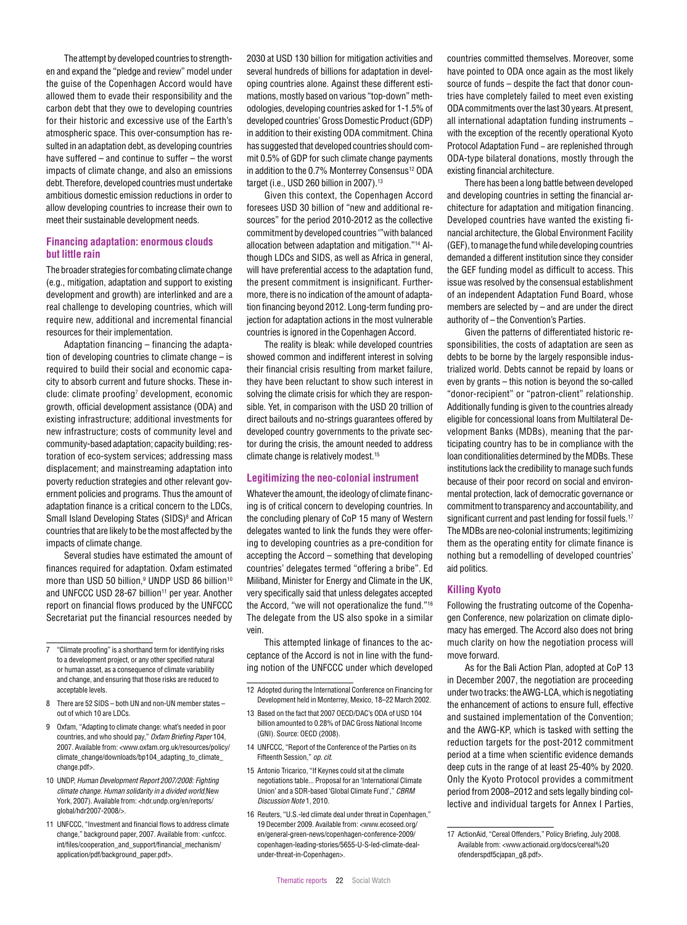The attempt by developed countries to strengthen and expand the "pledge and review" model under the guise of the Copenhagen Accord would have allowed them to evade their responsibility and the carbon debt that they owe to developing countries for their historic and excessive use of the Earth's atmospheric space. This over-consumption has resulted in an adaptation debt, as developing countries have suffered – and continue to suffer – the worst impacts of climate change, and also an emissions debt. Therefore, developed countries must undertake ambitious domestic emission reductions in order to allow developing countries to increase their own to meet their sustainable development needs.

# **Financing adaptation: enormous clouds but little rain**

The broader strategies for combating climate change (e.g., mitigation, adaptation and support to existing development and growth) are interlinked and are a real challenge to developing countries, which will require new, additional and incremental financial resources for their implementation.

Adaptation financing – financing the adaptation of developing countries to climate change – is required to build their social and economic capacity to absorb current and future shocks. These include: climate proofing<sup>7</sup> development, economic growth, official development assistance (ODA) and existing infrastructure; additional investments for new infrastructure; costs of community level and community-based adaptation; capacity building; restoration of eco-system services; addressing mass displacement; and mainstreaming adaptation into poverty reduction strategies and other relevant government policies and programs. Thus the amount of adaptation finance is a critical concern to the LDCs, Small Island Developing States (SIDS)<sup>8</sup> and African countries that are likely to be the most affected by the impacts of climate change.

Several studies have estimated the amount of finances required for adaptation. Oxfam estimated more than USD 50 billion, $^{\rm 9}$  UNDP USD 86 billion $^{\rm 10}$ and UNFCCC USD 28-67 billion<sup>11</sup> per year. Another report on financial flows produced by the UNFCCC Secretariat put the financial resources needed by

- 9 Oxfam, "Adapting to climate change: what's needed in poor countries, and who should pay," *Oxfam Briefing Paper* 104, 2007. Available from: <www.oxfam.org.uk/resources/policy/ climate\_change/downloads/bp104\_adapting\_to\_climate\_ change.pdf>.
- 10 UNDP, *Human Development Report 2007/2008: Fighting climate change. Human solidarity in a divided world*,New York, 2007). Available from: <hdr.undp.org/en/reports/ global/hdr2007-2008/>.
- 11 UNFCCC, "Investment and financial flows to address climate change," background paper, 2007. Available from: <unfccc. int/files/cooperation\_and\_support/financial\_mechanism/ application/pdf/background\_paper.pdf>.

2030 at USD 130 billion for mitigation activities and several hundreds of billions for adaptation in developing countries alone. Against these different estimations, mostly based on various "top-down" methodologies, developing countries asked for 1-1.5% of developed countries' Gross Domestic Product (GDP) in addition to their existing ODA commitment. China has suggested that developed countries should commit 0.5% of GDP for such climate change payments in addition to the 0.7% Monterrey Consensus<sup>12</sup> ODA target (i.e., USD 260 billion in 2007).13

Given this context, the Copenhagen Accord foresees USD 30 billion of "new and additional resources" for the period 2010-2012 as the collective commitment by developed countries '"with balanced allocation between adaptation and mitigation."14 Although LDCs and SIDS, as well as Africa in general, will have preferential access to the adaptation fund, the present commitment is insignificant. Furthermore, there is no indication of the amount of adaptation financing beyond 2012. Long-term funding projection for adaptation actions in the most vulnerable countries is ignored in the Copenhagen Accord.

The reality is bleak: while developed countries showed common and indifferent interest in solving their financial crisis resulting from market failure, they have been reluctant to show such interest in solving the climate crisis for which they are responsible. Yet, in comparison with the USD 20 trillion of direct bailouts and no-strings guarantees offered by developed country governments to the private sector during the crisis, the amount needed to address climate change is relatively modest.15

# **Legitimizing the neo-colonial instrument**

Whatever the amount, the ideology of climate financing is of critical concern to developing countries. In the concluding plenary of CoP 15 many of Western delegates wanted to link the funds they were offering to developing countries as a pre-condition for accepting the Accord – something that developing countries' delegates termed "offering a bribe". Ed Miliband, Minister for Energy and Climate in the UK, very specifically said that unless delegates accepted the Accord, "we will not operationalize the fund."16 The delegate from the US also spoke in a similar vein.

This attempted linkage of finances to the acceptance of the Accord is not in line with the funding notion of the UNFCCC under which developed

- 12 Adopted during the International Conference on Financing for Development held in Monterrey, Mexico, 18–22 March 2002.
- 13 Based on the fact that 2007 OECD/DAC's ODA of USD 104 billion amounted to 0.28% of DAC Gross National Income (GNI). Source: OECD (2008).
- 14 UNFCCC, "Report of the Conference of the Parties on its Fifteenth Session," *op. cit*.
- 15 Antonio Tricarico, "If Keynes could sit at the climate negotiations table... Proposal for an 'International Climate Union' and a SDR-based 'Global Climate Fund'," *CBRM Discussion Note* 1, 2010.
- 16 Reuters, "U.S.-led climate deal under threat in Copenhagen," 19 December 2009. Available from: <www.ecoseed.org/ en/general-green-news/copenhagen-conference-2009/ copenhagen-leading-stories/5655-U-S-led-climate-dealunder-threat-in-Copenhagen>.

countries committed themselves. Moreover, some have pointed to ODA once again as the most likely source of funds – despite the fact that donor countries have completely failed to meet even existing ODA commitments over the last 30 years. At present, all international adaptation funding instruments − with the exception of the recently operational Kyoto Protocol Adaptation Fund − are replenished through ODA-type bilateral donations, mostly through the existing financial architecture.

There has been a long battle between developed and developing countries in setting the financial architecture for adaptation and mitigation financing. Developed countries have wanted the existing financial architecture, the Global Environment Facility (GEF), to manage the fund while developing countries demanded a different institution since they consider the GEF funding model as difficult to access. This issue was resolved by the consensual establishment of an independent Adaptation Fund Board, whose members are selected by – and are under the direct authority of – the Convention's Parties.

Given the patterns of differentiated historic responsibilities, the costs of adaptation are seen as debts to be borne by the largely responsible industrialized world. Debts cannot be repaid by loans or even by grants – this notion is beyond the so-called "donor-recipient" or "patron-client" relationship. Additionally funding is given to the countries already eligible for concessional loans from Multilateral Development Banks (MDBs), meaning that the participating country has to be in compliance with the loan conditionalities determined by the MDBs. These institutions lack the credibility to manage such funds because of their poor record on social and environmental protection, lack of democratic governance or commitment to transparency and accountability, and significant current and past lending for fossil fuels.<sup>17</sup> The MDBs are neo-colonial instruments; legitimizing them as the operating entity for climate finance is nothing but a remodelling of developed countries' aid politics.

## **Killing Kyoto**

Following the frustrating outcome of the Copenhagen Conference, new polarization on climate diplomacy has emerged. The Accord also does not bring much clarity on how the negotiation process will move forward.

As for the Bali Action Plan, adopted at CoP 13 in December 2007, the negotiation are proceeding under two tracks: the AWG-LCA, which is negotiating the enhancement of actions to ensure full, effective and sustained implementation of the Convention; and the AWG-KP, which is tasked with setting the reduction targets for the post-2012 commitment period at a time when scientific evidence demands deep cuts in the range of at least 25-40% by 2020. Only the Kyoto Protocol provides a commitment period from 2008–2012 and sets legally binding collective and individual targets for Annex I Parties,

<sup>7</sup> "Climate proofing" is a shorthand term for identifying risks to a development project, or any other specified natural or human asset, as a consequence of climate variability and change, and ensuring that those risks are reduced to acceptable levels.

<sup>8</sup> There are 52 SIDS – both UN and non-UN member states – out of which 10 are LDCs.

<sup>17</sup> ActionAid, "Cereal Offenders," Policy Briefing, July 2008. Available from: <www.actionaid.org/docs/cereal%20 ofenderspdf5cjapan\_g8.pdf>.